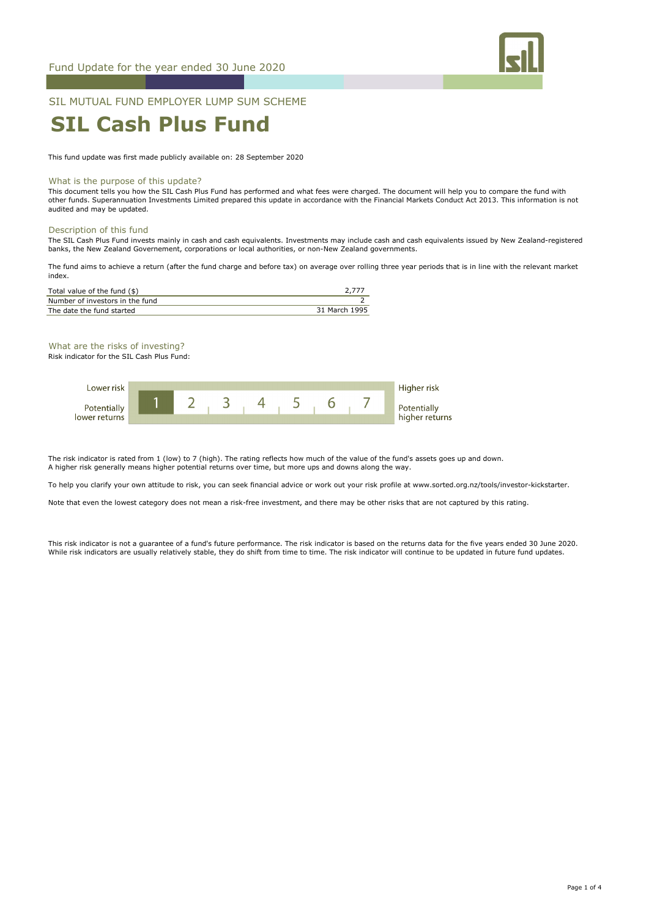

# SIL MUTUAL FUND EMPLOYER LUMP SUM SCHEME

# **SIL Cash Plus Fund**

This fund update was first made publicly available on: 28 September 2020

#### What is the purpose of this update?

This document tells you how the SIL Cash Plus Fund has performed and what fees were charged. The document will help you to compare the fund with other funds. Superannuation Investments Limited prepared this update in accordance with the Financial Markets Conduct Act 2013. This information is not audited and may be updated.

#### Description of this fund

The SIL Cash Plus Fund invests mainly in cash and cash equivalents. Investments may include cash and cash equivalents issued by New Zealand-registered banks, the New Zealand Governement, corporations or local authorities, or non-New Zealand governments.

The fund aims to achieve a return (after the fund charge and before tax) on average over rolling three year periods that is in line with the relevant market index.

| Total value of the fund $(\$)$  |               |
|---------------------------------|---------------|
| Number of investors in the fund |               |
| The date the fund started       | 31 March 1995 |

What are the risks of investing? Risk indicator for the SIL Cash Plus Fund:



The risk indicator is rated from 1 (low) to 7 (high). The rating reflects how much of the value of the fund's assets goes up and down. A higher risk generally means higher potential returns over time, but more ups and downs along the way.

To help you clarify your own attitude to risk, you can seek financial advice or work out your risk profile at www.sorted.org.nz/tools/investor-kickstarter.

Note that even the lowest category does not mean a risk-free investment, and there may be other risks that are not captured by this rating.

This risk indicator is not a guarantee of a fund's future performance. The risk indicator is based on the returns data for the five years ended 30 June 2020. While risk indicators are usually relatively stable, they do shift from time to time. The risk indicator will continue to be updated in future fund updates.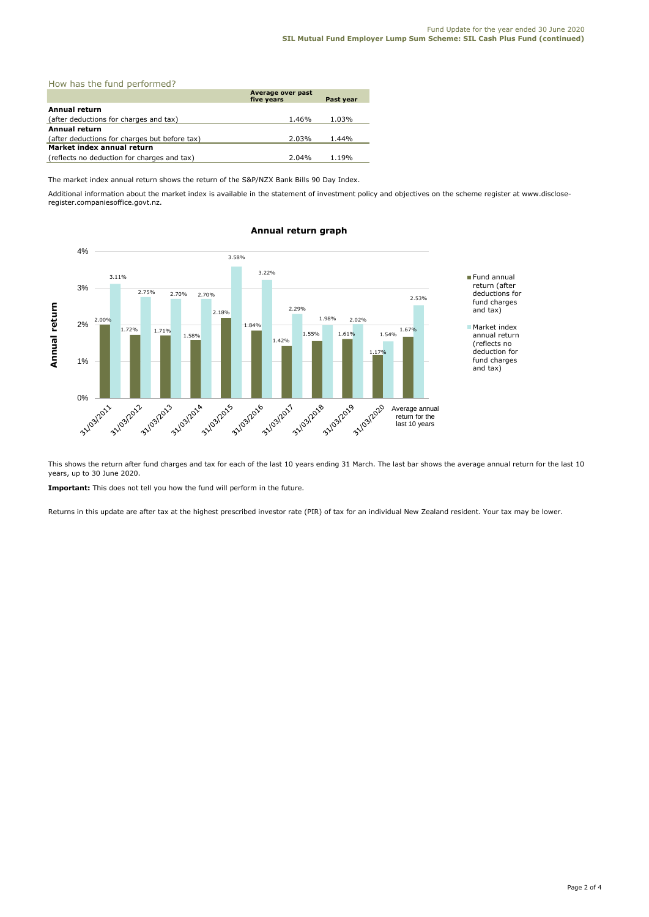| How has the fund performed?                   |                                 |           |
|-----------------------------------------------|---------------------------------|-----------|
|                                               | Average over past<br>five vears | Past year |
| Annual return                                 |                                 |           |
| (after deductions for charges and tax)        | 1.46%                           | 1.03%     |
| <b>Annual return</b>                          |                                 |           |
| (after deductions for charges but before tax) | 2.03%                           | 1.44%     |
| Market index annual return                    |                                 |           |
| (reflects no deduction for charges and tax)   | 2.04%                           | 1.19%     |

The market index annual return shows the return of the S&P/NZX Bank Bills 90 Day Index.

Additional information about the market index is available in the statement of investment policy and objectives on the scheme register at www.discloseregister.companiesoffice.govt.nz.



# **Annual return graph**

This shows the return after fund charges and tax for each of the last 10 years ending 31 March. The last bar shows the average annual return for the last 10 years, up to 30 June 2020.

**Important:** This does not tell you how the fund will perform in the future.

Returns in this update are after tax at the highest prescribed investor rate (PIR) of tax for an individual New Zealand resident. Your tax may be lower.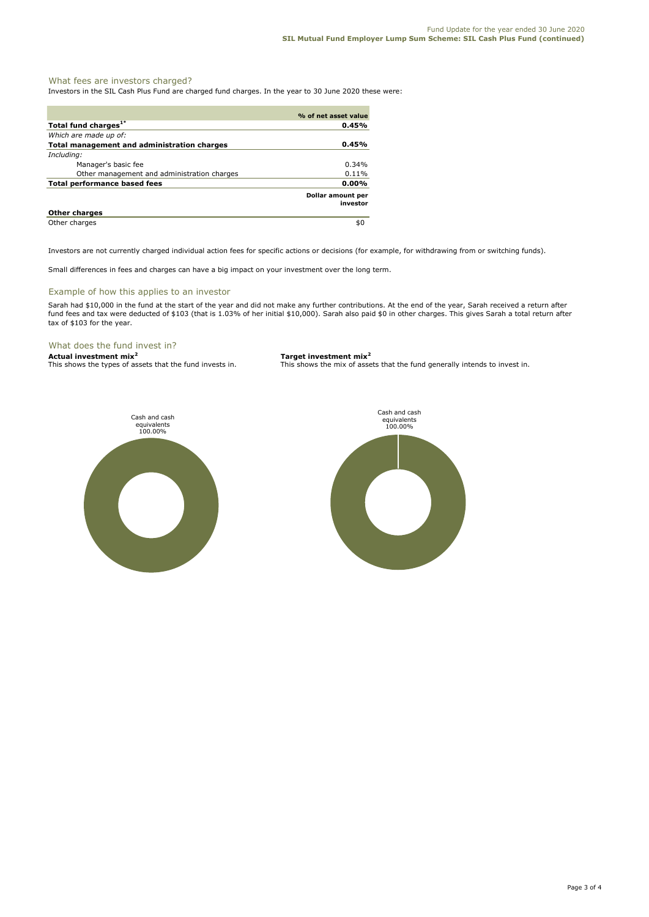# What fees are investors charged?

Investors in the SIL Cash Plus Fund are charged fund charges. In the year to 30 June 2020 these were:

|                                             | % of net asset value          |
|---------------------------------------------|-------------------------------|
| Total fund charges <sup>1*</sup>            | 0.45%                         |
| Which are made up of:                       |                               |
| Total management and administration charges | 0.45%                         |
| Including:                                  |                               |
| Manager's basic fee                         | $0.34\%$                      |
| Other management and administration charges | 0.11%                         |
| Total performance based fees                | $0.00\%$                      |
|                                             | Dollar amount per<br>investor |
| <b>Other charges</b>                        |                               |
| Other charges                               | \$0                           |

Investors are not currently charged individual action fees for specific actions or decisions (for example, for withdrawing from or switching funds).

Small differences in fees and charges can have a big impact on your investment over the long term.

### Example of how this applies to an investor

Sarah had \$10,000 in the fund at the start of the year and did not make any further contributions. At the end of the year, Sarah received a return after fund fees and tax were deducted of \$103 (that is 1.03% of her initial \$10,000). Sarah also paid \$0 in other charges. This gives Sarah a total return after tax of \$103 for the year.

# What does the fund invest in?

**Actual investment mix<sup>2</sup> <b>Target investment mix**<sup>2</sup> **This shows the types of assets that the fund invests in.** This shows the mix of assets

This shows the mix of assets that the fund generally intends to invest in.